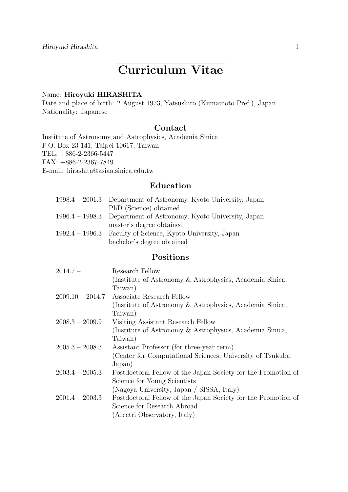# **Curriculum Vitae**

#### Name: **Hiroyuki HIRASHITA**

Date and place of birth: 2 August 1973, Yatsushiro (Kumamoto Pref.), Japan Nationality: Japanese

## **Contact**

Institute of Astronomy and Astrophysics, Academia Sinica P.O. Box 23-141, Taipei 10617, Taiwan TEL: +886-2-2366-5447 FAX: +886-2-2367-7849 E-mail: hirashita@asiaa.sinica.edu.tw

# **Education**

|                   | 1998.4 – 2001.3 Department of Astronomy, Kyoto University, Japan |
|-------------------|------------------------------------------------------------------|
|                   | PhD (Science) obtained                                           |
|                   | 1996.4 – 1998.3 Department of Astronomy, Kyoto University, Japan |
|                   | master's degree obtained                                         |
| $1992.4 - 1996.3$ | Faculty of Science, Kyoto University, Japan                      |
|                   | bachelor's degree obtained                                       |

## **Positions**

| $2014.7 -$         | Research Fellow                                               |
|--------------------|---------------------------------------------------------------|
|                    | (Institute of Astronomy & Astrophysics, Academia Sinica,      |
|                    | Taiwan)                                                       |
| $2009.10 - 2014.7$ | Associate Research Fellow                                     |
|                    | (Institute of Astronomy & Astrophysics, Academia Sinica,      |
|                    | Taiwan)                                                       |
| $2008.3 - 2009.9$  | Visiting Assistant Research Fellow                            |
|                    | (Institute of Astronomy & Astrophysics, Academia Sinica,      |
|                    | Taiwan)                                                       |
| $2005.3 - 2008.3$  | Assistant Professor (for three-year term)                     |
|                    | (Center for Computational Sciences, University of Tsukuba,    |
|                    | Japan)                                                        |
| $2003.4 - 2005.3$  | Postdoctoral Fellow of the Japan Society for the Promotion of |
|                    | Science for Young Scientists                                  |
|                    | (Nagoya University, Japan / SISSA, Italy)                     |
| $2001.4 - 2003.3$  | Postdoctoral Fellow of the Japan Society for the Promotion of |
|                    | Science for Research Abroad                                   |
|                    | (Arcetri Observatory, Italy)                                  |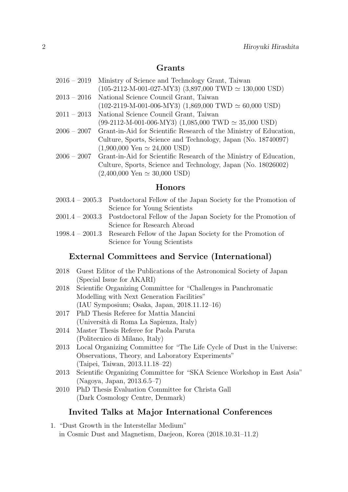## **Grants**

- 2016 2019 Ministry of Science and Technology Grant, Taiwan (105-2112-M-001-027-MY3) (3,897,000 TWD *≃* 130,000 USD) 2013 – 2016 National Science Council Grant, Taiwan (102-2119-M-001-006-MY3) (1,869,000 TWD *≃* 60,000 USD)
- 2011 2013 National Science Council Grant, Taiwan (99-2112-M-001-006-MY3) (1,085,000 TWD *≃* 35,000 USD)
- 2006 2007 Grant-in-Aid for Scientific Research of the Ministry of Education, Culture, Sports, Science and Technology, Japan (No. 18740097) (1,900,000 Yen *≃* 24,000 USD)
- 2006 2007 Grant-in-Aid for Scientific Research of the Ministry of Education, Culture, Sports, Science and Technology, Japan (No. 18026002) (2,400,000 Yen *≃* 30,000 USD)

## **Honors**

| $2003.4 - 2005.3$ Postdoctoral Fellow of the Japan Society for the Promotion of |
|---------------------------------------------------------------------------------|
| Science for Young Scientists                                                    |
| $2001.4 - 2003.3$ Postdoctoral Fellow of the Japan Society for the Promotion of |
| Science for Research Abroad                                                     |
| $19984 - 2001.3$ Research Fellow of the Japan Society for the Promotion of      |

an Society for the Promotion of Science for Young Scientists

## **External Committees and Service (International)**

- 2018 Guest Editor of the Publications of the Astronomical Society of Japan (Special Issue for AKARI)
- 2018 Scientific Organizing Committee for "Challenges in Panchromatic Modelling with Next Generation Facilities" (IAU Symposium; Osaka, Japan, 2018.11.12–16)
- 2017 PhD Thesis Referee for Mattia Mancini (Universit`a di Roma La Sapienza, Italy)
- 2014 Master Thesis Referee for Paola Paruta (Politecnico di Milano, Italy)
- 2013 Local Organizing Committee for "The Life Cycle of Dust in the Universe: Observations, Theory, and Laboratory Experiments" (Taipei, Taiwan, 2013.11.18–22)
- 2013 Scientific Organizing Committee for "SKA Science Workshop in East Asia" (Nagoya, Japan, 2013.6.5–7)
- 2010 PhD Thesis Evaluation Committee for Christa Gall (Dark Cosmology Centre, Denmark)

## **Invited Talks at Major International Conferences**

1. "Dust Growth in the Interstellar Medium" in Cosmic Dust and Magnetism, Daejeon, Korea (2018.10.31–11.2)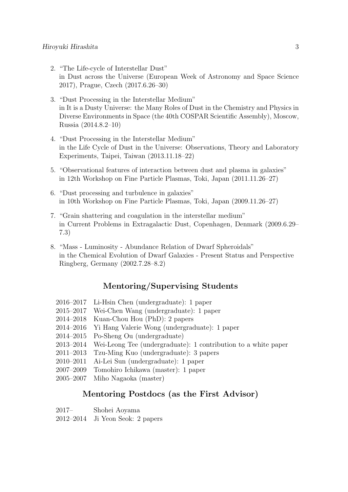- 2. "The Life-cycle of Interstellar Dust" in Dust across the Universe (European Week of Astronomy and Space Science 2017), Prague, Czech (2017.6.26–30)
- 3. "Dust Processing in the Interstellar Medium" in It is a Dusty Universe: the Many Roles of Dust in the Chemistry and Physics in Diverse Environments in Space (the 40th COSPAR Scientific Assembly), Moscow, Russia (2014.8.2–10)
- 4. "Dust Processing in the Interstellar Medium" in the Life Cycle of Dust in the Universe: Observations, Theory and Laboratory Experiments, Taipei, Taiwan (2013.11.18–22)
- 5. "Observational features of interaction between dust and plasma in galaxies" in 12th Workshop on Fine Particle Plasmas, Toki, Japan (2011.11.26–27)
- 6. "Dust processing and turbulence in galaxies" in 10th Workshop on Fine Particle Plasmas, Toki, Japan (2009.11.26–27)
- 7. "Grain shattering and coagulation in the interstellar medium" in Current Problems in Extragalactic Dust, Copenhagen, Denmark (2009.6.29– 7.3)
- 8. "Mass Luminosity Abundance Relation of Dwarf Spheroidals" in the Chemical Evolution of Dwarf Galaxies - Present Status and Perspective Ringberg, Germany (2002.7.28–8.2)

## **Mentoring/Supervising Students**

- 2016–2017 Li-Hsin Chen (undergraduate): 1 paper
- 2015–2017 Wei-Chen Wang (undergraduate): 1 paper
- 2014–2018 Kuan-Chou Hou (PhD): 2 papers
- 2014–2016 Yi Hang Valerie Wong (undergraduate): 1 paper
- 2014–2015 Po-Sheng Ou (undergraduate)
- 2013–2014 Wei-Leong Tee (undergraduate): 1 contribution to a white paper
- 2011–2013 Tzu-Ming Kuo (undergraduate): 3 papers
- 2010–2011 Ai-Lei Sun (undergraduate): 1 paper
- 2007–2009 Tomohiro Ichikawa (master): 1 paper
- 2005–2007 Miho Nagaoka (master)

### **Mentoring Postdocs (as the First Advisor)**

2012–2014 Ji Yeon Seok: 2 papers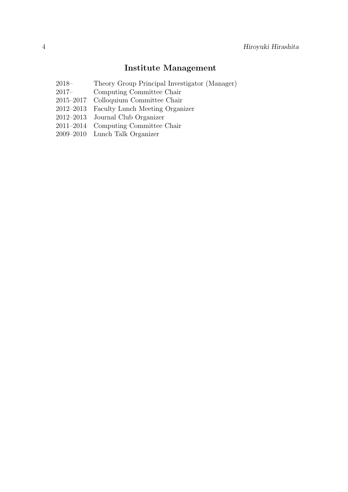# **Institute Management**

- 2018– Theory Group Principal Investigator (Manager)
- 2017– Computing Committee Chair
- 2015–2017 Colloquium Committee Chair
- 2012–2013 Faculty Lunch Meeting Organizer
- 2012–2013 Journal Club Organizer
- 2011–2014 Computing Committee Chair
- 2009–2010 Lunch Talk Organizer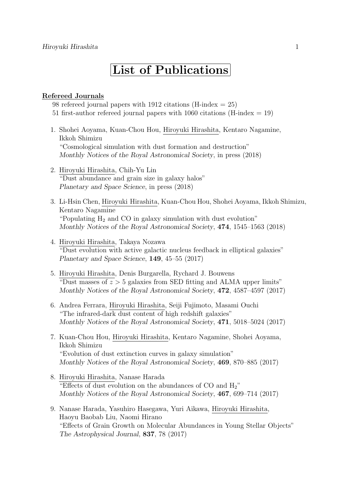# **List of Publications**

#### **Refereed Journals**

98 refereed journal papers with 1912 citations (H-index  $= 25$ ) 51 first-author refereed journal papers with 1060 citations (H-index  $= 19$ )

- 1. Shohei Aoyama, Kuan-Chou Hou, Hiroyuki Hirashita, Kentaro Nagamine, Ikkoh Shimizu "Cosmological simulation with dust formation and destruction" *Monthly Notices of the Royal Astronomical Society*, in press (2018)
- 2. Hiroyuki Hirashita, Chih-Yu Lin "Dust abundance and grain size in galaxy halos" *Planetary and Space Science*, in press (2018)
- 3. Li-Hsin Chen, Hiroyuki Hirashita, Kuan-Chou Hou, Shohei Aoyama, Ikkoh Shimizu, Kentaro Nagamine "Populating  $H_2$  and CO in galaxy simulation with dust evolution" *Monthly Notices of the Royal Astronomical Society*, **474**, 1545–1563 (2018)
- 4. Hiroyuki Hirashita, Takaya Nozawa "Dust evolution with active galactic nucleus feedback in elliptical galaxies" *Planetary and Space Science*, **149**, 45–55 (2017)
- 5. Hiroyuki Hirashita, Denis Burgarella, Rychard J. Bouwens "Dust masses of *z >* 5 galaxies from SED fitting and ALMA upper limits" *Monthly Notices of the Royal Astronomical Society*, **472**, 4587–4597 (2017)
- 6. Andrea Ferrara, Hiroyuki Hirashita, Seiji Fujimoto, Masami Ouchi "The infrared-dark dust content of high redshift galaxies" *Monthly Notices of the Royal Astronomical Society*, **471**, 5018–5024 (2017)
- 7. Kuan-Chou Hou, Hiroyuki Hirashita, Kentaro Nagamine, Shohei Aoyama, Ikkoh Shimizu "Evolution of dust extinction curves in galaxy simulation" *Monthly Notices of the Royal Astronomical Society*, **469**, 870–885 (2017)
- 8. Hiroyuki Hirashita, Nanase Harada "Effects of dust evolution on the abundances of CO and H2" *Monthly Notices of the Royal Astronomical Society*, **467**, 699–714 (2017)
- 9. Nanase Harada, Yasuhiro Hasegawa, Yuri Aikawa, Hiroyuki Hirashita, Haoyu Baobab Liu, Naomi Hirano "Effects of Grain Growth on Molecular Abundances in Young Stellar Objects" *The Astrophysical Journal*, **837**, 78 (2017)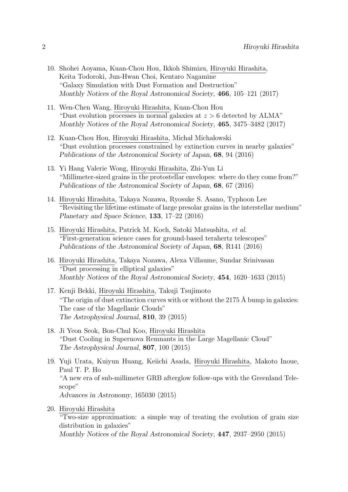- 10. Shohei Aoyama, Kuan-Chou Hou, Ikkoh Shimizu, Hiroyuki Hirashita, Keita Todoroki, Jun-Hwan Choi, Kentaro Nagamine "Galaxy Simulation with Dust Formation and Destruction" *Monthly Notices of the Royal Astronomical Society*, **466**, 105–121 (2017)
- 11. Wen-Chen Wang, Hiroyuki Hirashita, Kuan-Chou Hou "Dust evolution processes in normal galaxies at *z >* 6 detected by ALMA" *Monthly Notices of the Royal Astronomical Society*, **465**, 3475–3482 (2017)
- 12. Kuan-Chou Hou, Hiroyuki Hirashita, Michał Michałowski "Dust evolution processes constrained by extinction curves in nearby galaxies" *Publications of the Astronomical Society of Japan*, **68**, 94 (2016)
- 13. Yi Hang Valerie Wong, Hiroyuki Hirashita, Zhi-Yun Li "Millimeter-sized grains in the protostellar envelopes: where do they come from?" *Publications of the Astronomical Society of Japan*, **68**, 67 (2016)
- 14. Hiroyuki Hirashita, Takaya Nozawa, Ryosuke S. Asano, Typhoon Lee "Revisiting the lifetime estimate of large presolar grains in the interstellar medium" *Planetary and Space Science*, **133**, 17–22 (2016)
- 15. Hiroyuki Hirashita, Patrick M. Koch, Satoki Matsushita, *et al.* "First-generation science cases for ground-based terahertz telescopes" *Publications of the Astronomical Society of Japan*, **68**, R141 (2016)
- 16. Hiroyuki Hirashita, Takaya Nozawa, Alexa Villaume, Sundar Srinivasan "Dust processing in elliptical galaxies" *Monthly Notices of the Royal Astronomical Society*, **454**, 1620–1633 (2015)
- 17. Kenji Bekki, Hiroyuki Hirashita, Takuji Tsujimoto "The origin of dust extinction curves with or without the 2175  $\AA$  bump in galaxies: The case of the Magellanic Clouds" *The Astrophysical Journal*, **810**, 39 (2015)
- 18. Ji Yeon Seok, Bon-Chul Koo, Hiroyuki Hirashita "Dust Cooling in Supernova Remnants in the Large Magellanic Cloud" *The Astrophysical Journal*, **807**, 100 (2015)
- 19. Yuji Urata, Kuiyun Huang, Keiichi Asada, Hiroyuki Hirashita, Makoto Inoue, Paul T. P. Ho "A new era of sub-millimeter GRB afterglow follow-ups with the Greenland Telescope" *Advances in Astronomy*, 165030 (2015)
- 20. Hiroyuki Hirashita "Two-size approximation: a simple way of treating the evolution of grain size distribution in galaxies" *Monthly Notices of the Royal Astronomical Society*, **447**, 2937–2950 (2015)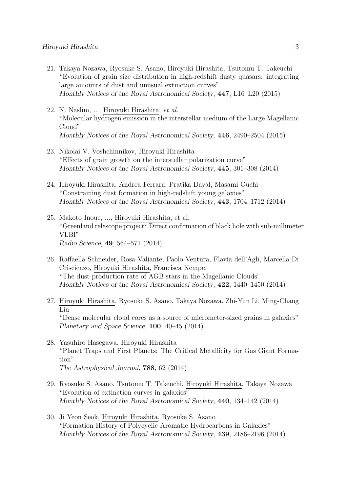- 21. Takaya Nozawa, Ryosuke S. Asano, Hiroyuki Hirashita, Tsutomu T. Takeuchi "Evolution of grain size distribution in high-redshift dusty quasars: integrating large amounts of dust and unusual extinction curves" *Monthly Notices of the Royal Astronomical Society*, **447**, L16–L20 (2015)
- 22. N. Naslim, ..., Hiroyuki Hirashita, *et al.* "Molecular hydrogen emission in the interstellar medium of the Large Magellanic Cloud" *Monthly Notices of the Royal Astronomical Society*, **446**, 2490–2504 (2015)
- 23. Nikolai V. Voshchinnikov, Hiroyuki Hirashita "Effects of grain growth on the interstellar polarization curve" *Monthly Notices of the Royal Astronomical Society*, **445**, 301–308 (2014)
- 24. Hiroyuki Hirashita, Andrea Ferrara, Pratika Dayal, Masami Ouchi "Constraining dust formation in high-redshift young galaxies" *Monthly Notices of the Royal Astronomical Society*, **443**, 1704–1712 (2014)
- 25. Makoto Inoue, ..., Hiroyuki Hirashita, et al. "Greenland telescope project: Direct confirmation of black hole with sub-millimeter VLBI" *Radio Science*, **49**, 564–571 (2014)
- 26. Raffaella Schneider, Rosa Valiante, Paolo Ventura, Flavia dell'Agli, Marcella Di Criscienzo, Hiroyuki Hirashita, Francisca Kemper "The dust production rate of AGB stars in the Magellanic Clouds" *Monthly Notices of the Royal Astronomical Society*, **422**, 1440–1450 (2014)
- 27. Hiroyuki Hirashita, Ryosuke S. Asano, Takaya Nozawa, Zhi-Yun Li, Ming-Chang Liu "Dense molecular cloud cores as a source of micrometer-sized grains in galaxies" *Planetary and Space Science*, **100**, 40–45 (2014)
- 28. Yasuhiro Hasegawa, Hiroyuki Hirashita "Planet Traps and First Planets: The Critical Metallicity for Gas Giant Formation" *The Astrophysical Journal*, **788**, 62 (2014)
- 29. Ryosuke S. Asano, Tsutomu T. Takeuchi, Hiroyuki Hirashita, Takaya Nozawa "Evolution of extinction curves in galaxies" *Monthly Notices of the Royal Astronomical Society*, **440**, 134–142 (2014)
- 30. Ji Yeon Seok, Hiroyuki Hirashita, Ryosuke S. Asano "Formation History of Polycyclic Aromatic Hydrocarbons in Galaxies" *Monthly Notices of the Royal Astronomical Society*, **439**, 2186–2196 (2014)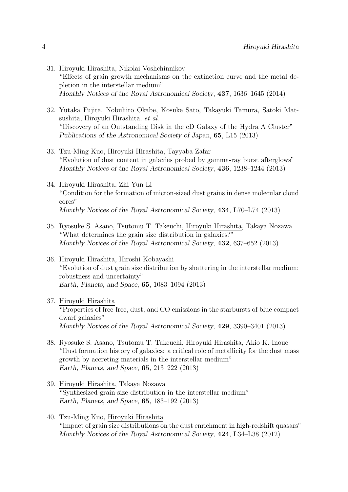- 31. Hiroyuki Hirashita, Nikolai Voshchinnikov "Effects of grain growth mechanisms on the extinction curve and the metal depletion in the interstellar medium" *Monthly Notices of the Royal Astronomical Society*, **437**, 1636–1645 (2014)
- 32. Yutaka Fujita, Nobuhiro Okabe, Kosuke Sato, Takayuki Tamura, Satoki Matsushita, Hiroyuki Hirashita, *et al.* "Discovery of an Outstanding Disk in the cD Galaxy of the Hydra A Cluster" *Publications of the Astronomical Society of Japan*, **65**, L15 (2013)
- 33. Tzu-Ming Kuo, Hiroyuki Hirashita, Tayyaba Zafar "Evolution of dust content in galaxies probed by gamma-ray burst afterglows" *Monthly Notices of the Royal Astronomical Society*, **436**, 1238–1244 (2013)
- 34. Hiroyuki Hirashita, Zhi-Yun Li "Condition for the formation of micron-sized dust grains in dense molecular cloud cores" *Monthly Notices of the Royal Astronomical Society*, **434**, L70–L74 (2013)
- 35. Ryosuke S. Asano, Tsutomu T. Takeuchi, Hiroyuki Hirashita, Takaya Nozawa "What determines the grain size distribution in galaxies?" *Monthly Notices of the Royal Astronomical Society*, **432**, 637–652 (2013)
- 36. Hiroyuki Hirashita, Hiroshi Kobayashi "Evolution of dust grain size distribution by shattering in the interstellar medium: robustness and uncertainty" *Earth, Planets, and Space*, **65**, 1083–1094 (2013)

#### 37. Hiroyuki Hirashita

"Properties of free-free, dust, and CO emissions in the starbursts of blue compact dwarf galaxies" *Monthly Notices of the Royal Astronomical Society*, **429**, 3390–3401 (2013)

- 38. Ryosuke S. Asano, Tsutomu T. Takeuchi, Hiroyuki Hirashita, Akio K. Inoue "Dust formation history of galaxies: a critical role of metallicity for the dust mass growth by accreting materials in the interstellar medium" *Earth, Planets, and Space*, **65**, 213–222 (2013)
- 39. Hiroyuki Hirashita, Takaya Nozawa "Synthesized grain size distribution in the interstellar medium" *Earth, Planets, and Space*, **65**, 183–192 (2013)
- 40. Tzu-Ming Kuo, Hiroyuki Hirashita "Impact of grain size distributions on the dust enrichment in high-redshift quasars" *Monthly Notices of the Royal Astronomical Society*, **424**, L34–L38 (2012)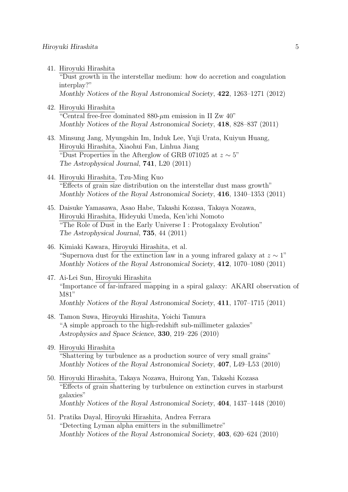41. Hiroyuki Hirashita

"Dust growth in the interstellar medium: how do accretion and coagulation interplay?"

*Monthly Notices of the Royal Astronomical Society*, **422**, 1263–1271 (2012)

42. Hiroyuki Hirashita

"Central free-free dominated 880-*µ*m emission in II Zw 40" *Monthly Notices of the Royal Astronomical Society*, **418**, 828–837 (2011)

- 43. Minsung Jang, Myungshin Im, Induk Lee, Yuji Urata, Kuiyun Huang, Hiroyuki Hirashita, Xiaohui Fan, Linhua Jiang "Dust Properties in the Afterglow of GRB 071025 at *z ∼* 5" *The Astrophysical Journal*, **741**, L20 (2011)
- 44. Hiroyuki Hirashita, Tzu-Ming Kuo "Effects of grain size distribution on the interstellar dust mass growth" *Monthly Notices of the Royal Astronomical Society*, **416**, 1340–1353 (2011)
- 45. Daisuke Yamasawa, Asao Habe, Takashi Kozasa, Takaya Nozawa, Hiroyuki Hirashita, Hideyuki Umeda, Ken'ichi Nomoto "The Role of Dust in the Early Universe I : Protogalaxy Evolution" *The Astrophysical Journal*, **735**, 44 (2011)
- 46. Kimiaki Kawara, Hiroyuki Hirashita, et al. "Supernova dust for the extinction law in a young infrared galaxy at  $z \sim 1$ " *Monthly Notices of the Royal Astronomical Society*, **412**, 1070–1080 (2011)
- 47. Ai-Lei Sun, Hiroyuki Hirashita "Importance of far-infrared mapping in a spiral galaxy: AKARI observation of M81" *Monthly Notices of the Royal Astronomical Society*, **411**, 1707–1715 (2011)
- 48. Tamon Suwa, Hiroyuki Hirashita, Yoichi Tamura "A simple approach to the high-redshift sub-millimeter galaxies" *Astrophysics and Space Science*, **330**, 219–226 (2010)
- 49. Hiroyuki Hirashita "Shattering by turbulence as a production source of very small grains" *Monthly Notices of the Royal Astronomical Society*, **407**, L49–L53 (2010)
- 50. Hiroyuki Hirashita, Takaya Nozawa, Huirong Yan, Takashi Kozasa "Effects of grain shattering by turbulence on extinction curves in starburst galaxies" *Monthly Notices of the Royal Astronomical Society*, **404**, 1437–1448 (2010)
- 51. Pratika Dayal, Hiroyuki Hirashita, Andrea Ferrara "Detecting Lyman alpha emitters in the submillimetre" *Monthly Notices of the Royal Astronomical Society*, **403**, 620–624 (2010)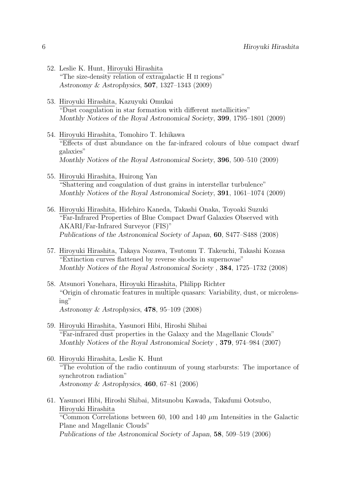- 52. Leslie K. Hunt, Hiroyuki Hirashita "The size-density relation of extragalactic H ii regions" *Astronomy & Astrophysics*, **507**, 1327–1343 (2009)
- 53. Hiroyuki Hirashita, Kazuyuki Omukai "Dust coagulation in star formation with different metallicities" *Monthly Notices of the Royal Astronomical Society*, **399**, 1795–1801 (2009)
- 54. Hiroyuki Hirashita, Tomohiro T. Ichikawa "Effects of dust abundance on the far-infrared colours of blue compact dwarf galaxies" *Monthly Notices of the Royal Astronomical Society*, **396**, 500–510 (2009)
- 55. Hiroyuki Hirashita, Huirong Yan "Shattering and coagulation of dust grains in interstellar turbulence" *Monthly Notices of the Royal Astronomical Society*, **391**, 1061–1074 (2009)
- 56. Hiroyuki Hirashita, Hidehiro Kaneda, Takashi Onaka, Toyoaki Suzuki "Far-Infrared Properties of Blue Compact Dwarf Galaxies Observed with AKARI/Far-Infrared Surveyor (FIS)" *Publications of the Astronomical Society of Japan*, **60**, S477–S488 (2008)
- 57. Hiroyuki Hirashita, Takaya Nozawa, Tsutomu T. Takeuchi, Takashi Kozasa "Extinction curves flattened by reverse shocks in supernovae" *Monthly Notices of the Royal Astronomical Society* , **384**, 1725–1732 (2008)
- 58. Atsunori Yonehara, Hiroyuki Hirashita, Philipp Richter "Origin of chromatic features in multiple quasars: Variability, dust, or microlensing" *Astronomy & Astrophysics*, **478**, 95–109 (2008)
- 59. Hiroyuki Hirashita, Yasunori Hibi, Hiroshi Shibai "Far-infrared dust properties in the Galaxy and the Magellanic Clouds" *Monthly Notices of the Royal Astronomical Society* , **379**, 974–984 (2007)
- 60. Hiroyuki Hirashita, Leslie K. Hunt "The evolution of the radio continuum of young starbursts: The importance of synchrotron radiation" *Astronomy & Astrophysics*, **460**, 67–81 (2006)
- 61. Yasunori Hibi, Hiroshi Shibai, Mitsunobu Kawada, Takafumi Ootsubo, Hiroyuki Hirashita "Common Correlations between 60, 100 and 140 *µ*m Intensities in the Galactic Plane and Magellanic Clouds" *Publications of the Astronomical Society of Japan*, **58**, 509–519 (2006)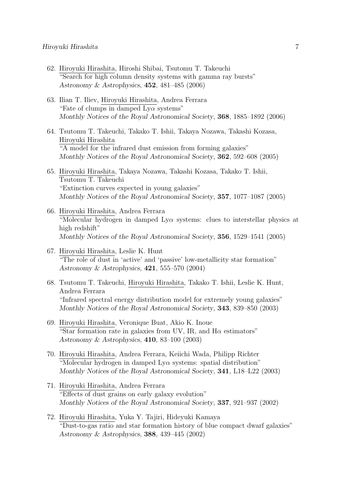- 62. Hiroyuki Hirashita, Hiroshi Shibai, Tsutomu T. Takeuchi "Search for high column density systems with gamma ray bursts" *Astronomy & Astrophysics*, **452**, 481–485 (2006)
- 63. Ilian T. Iliev, Hiroyuki Hirashita, Andrea Ferrara "Fate of clumps in damped Ly*α* systems" *Monthly Notices of the Royal Astronomical Society*, **368**, 1885–1892 (2006)
- 64. Tsutomu T. Takeuchi, Takako T. Ishii, Takaya Nozawa, Takashi Kozasa, Hiroyuki Hirashita "A model for the infrared dust emission from forming galaxies" *Monthly Notices of the Royal Astronomical Society*, **362**, 592–608 (2005)
- 65. Hiroyuki Hirashita, Takaya Nozawa, Takashi Kozasa, Takako T. Ishii, Tsutomu T. Takeuchi "Extinction curves expected in young galaxies" *Monthly Notices of the Royal Astronomical Society*, **357**, 1077–1087 (2005)
- 66. Hiroyuki Hirashita, Andrea Ferrara "Molecular hydrogen in damped Ly $\alpha$  systems: clues to interstellar physics at high redshift" *Monthly Notices of the Royal Astronomical Society*, **356**, 1529–1541 (2005)
- 67. Hiroyuki Hirashita, Leslie K. Hunt "The role of dust in 'active' and 'passive' low-metallicity star formation" *Astronomy & Astrophysics*, **421**, 555–570 (2004)
- 68. Tsutomu T. Takeuchi, Hiroyuki Hirashita, Takako T. Ishii, Leslie K. Hunt, Andrea Ferrara "Infrared spectral energy distribution model for extremely young galaxies" *Monthly Notices of the Royal Astronomical Society*, **343**, 839–850 (2003)
- 69. Hiroyuki Hirashita, Veronique Buat, Akio K. Inoue "Star formation rate in galaxies from UV, IR, and H*α* estimators" *Astronomy & Astrophysics*, **410**, 83–100 (2003)
- 70. Hiroyuki Hirashita, Andrea Ferrara, Keiichi Wada, Philipp Richter "Molecular hydrogen in damped Ly*α* systems: spatial distribution" *Monthly Notices of the Royal Astronomical Society*, **341**, L18–L22 (2003)
- 71. Hiroyuki Hirashita, Andrea Ferrara "Effects of dust grains on early galaxy evolution" *Monthly Notices of the Royal Astronomical Society*, **337**, 921–937 (2002)
- 72. Hiroyuki Hirashita, Yuka Y. Tajiri, Hideyuki Kamaya "Dust-to-gas ratio and star formation history of blue compact dwarf galaxies" *Astronomy & Astrophysics*, **388**, 439–445 (2002)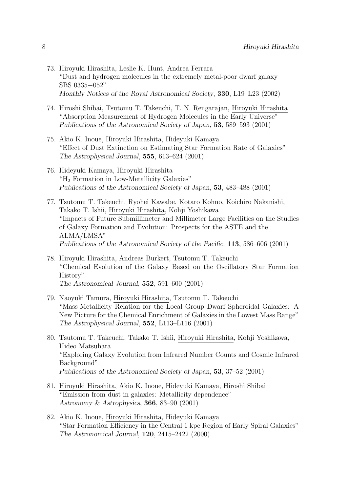- 73. Hiroyuki Hirashita, Leslie K. Hunt, Andrea Ferrara "Dust and hydrogen molecules in the extremely metal-poor dwarf galaxy SBS 0335*−*052" *Monthly Notices of the Royal Astronomical Society*, **330**, L19–L23 (2002)
- 74. Hiroshi Shibai, Tsutomu T. Takeuchi, T. N. Rengarajan, Hiroyuki Hirashita "Absorption Measurement of Hydrogen Molecules in the Early Universe" *Publications of the Astronomical Society of Japan*, **53**, 589–593 (2001)
- 75. Akio K. Inoue, Hiroyuki Hirashita, Hideyuki Kamaya "Effect of Dust Extinction on Estimating Star Formation Rate of Galaxies" *The Astrophysical Journal*, **555**, 613–624 (2001)
- 76. Hideyuki Kamaya, Hiroyuki Hirashita "H<sup>2</sup> Formation in Low-Metallicity Galaxies" *Publications of the Astronomical Society of Japan*, **53**, 483–488 (2001)
- 77. Tsutomu T. Takeuchi, Ryohei Kawabe, Kotaro Kohno, Koichiro Nakanishi, Takako T. Ishii, Hiroyuki Hirashita, Kohji Yoshikawa "Impacts of Future Submillimeter and Millimeter Large Facilities on the Studies of Galaxy Formation and Evolution: Prospects for the ASTE and the ALMA/LMSA" *Publications of the Astronomical Society of the Pacific*, **113**, 586–606 (2001)
- 78. Hiroyuki Hirashita, Andreas Burkert, Tsutomu T. Takeuchi "Chemical Evolution of the Galaxy Based on the Oscillatory Star Formation History" *The Astronomical Journal*, **552**, 591–600 (2001)
- 79. Naoyuki Tamura, Hiroyuki Hirashita, Tsutomu T. Takeuchi "Mass-Metallicity Relation for the Local Group Dwarf Spheroidal Galaxies: A New Picture for the Chemical Enrichment of Galaxies in the Lowest Mass Range" *The Astrophysical Journal*, **552**, L113–L116 (2001)
- 80. Tsutomu T. Takeuchi, Takako T. Ishii, Hiroyuki Hirashita, Kohji Yoshikawa, Hideo Matsuhara "Exploring Galaxy Evolution from Infrared Number Counts and Cosmic Infrared Background" *Publications of the Astronomical Society of Japan*, **53**, 37–52 (2001)
- 81. Hiroyuki Hirashita, Akio K. Inoue, Hideyuki Kamaya, Hiroshi Shibai "Emission from dust in galaxies: Metallicity dependence" *Astronomy & Astrophysics*, **366**, 83–90 (2001)
- 82. Akio K. Inoue, Hiroyuki Hirashita, Hideyuki Kamaya "Star Formation Efficiency in the Central 1 kpc Region of Early Spiral Galaxies" *The Astronomical Journal*, **120**, 2415–2422 (2000)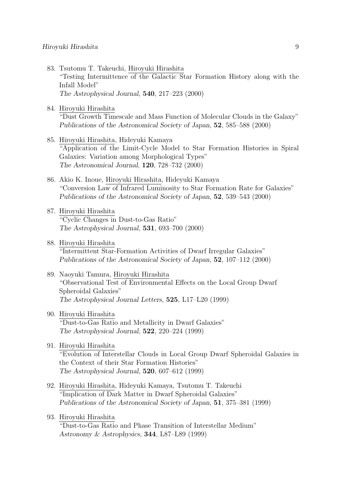- 83. Tsutomu T. Takeuchi, Hiroyuki Hirashita "Testing Intermittence of the Galactic Star Formation History along with the Infall Model" *The Astrophysical Journal*, **540**, 217–223 (2000)
- 84. Hiroyuki Hirashita

"Dust Growth Timescale and Mass Function of Molecular Clouds in the Galaxy" *Publications of the Astronomical Society of Japan*, **52**, 585–588 (2000)

- 85. Hiroyuki Hirashita, Hideyuki Kamaya "Application of the Limit-Cycle Model to Star Formation Histories in Spiral Galaxies: Variation among Morphological Types" *The Astronomical Journal*, **120**, 728–732 (2000)
- 86. Akio K. Inoue, Hiroyuki Hirashita, Hideyuki Kamaya "Conversion Law of Infrared Luminosity to Star Formation Rate for Galaxies" *Publications of the Astronomical Society of Japan*, **52**, 539–543 (2000)
- 87. Hiroyuki Hirashita "Cyclic Changes in Dust-to-Gas Ratio" *The Astrophysical Journal*, **531**, 693–700 (2000)
- 88. Hiroyuki Hirashita "Intermittent Star-Formation Activities of Dwarf Irregular Galaxies" *Publications of the Astronomical Society of Japan*, **52**, 107–112 (2000)
- 89. Naoyuki Tamura, Hiroyuki Hirashita "Observational Test of Environmental Effects on the Local Group Dwarf Spheroidal Galaxies" *The Astrophysical Journal Letters*, **525**, L17–L20 (1999)
- 90. Hiroyuki Hirashita "Dust-to-Gas Ratio and Metallicity in Dwarf Galaxies" *The Astrophysical Journal*, **522**, 220–224 (1999)
- 91. Hiroyuki Hirashita "Evolution of Interstellar Clouds in Local Group Dwarf Spheroidal Galaxies in the Context of their Star Formation Histories" *The Astrophysical Journal*, **520**, 607–612 (1999)
- 92. Hiroyuki Hirashita, Hideyuki Kamaya, Tsutomu T. Takeuchi "Implication of Dark Matter in Dwarf Spheroidal Galaxies" *Publications of the Astronomical Society of Japan*, **51**, 375–381 (1999)
- 93. Hiroyuki Hirashita

"Dust-to-Gas Ratio and Phase Transition of Interstellar Medium" *Astronomy & Astrophysics*, **344**, L87–L89 (1999)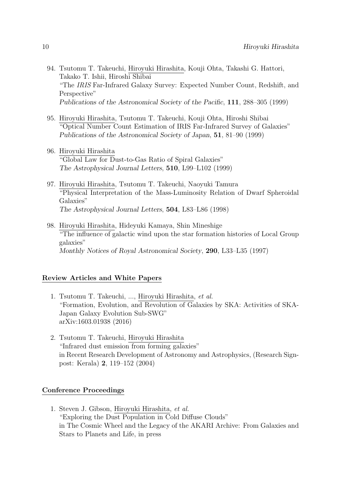- 94. Tsutomu T. Takeuchi, Hiroyuki Hirashita, Kouji Ohta, Takashi G. Hattori, Takako T. Ishii, Hiroshi Shibai "The *IRIS* Far-Infrared Galaxy Survey: Expected Number Count, Redshift, and Perspective" *Publications of the Astronomical Society of the Pacific*, **111**, 288–305 (1999)
- 95. Hiroyuki Hirashita, Tsutomu T. Takeuchi, Kouji Ohta, Hiroshi Shibai "Optical Number Count Estimation of IRIS Far-Infrared Survey of Galaxies" *Publications of the Astronomical Society of Japan*, **51**, 81–90 (1999)
- 96. Hiroyuki Hirashita "Global Law for Dust-to-Gas Ratio of Spiral Galaxies" *The Astrophysical Journal Letters*, **510**, L99–L102 (1999)
- 97. Hiroyuki Hirashita, Tsutomu T. Takeuchi, Naoyuki Tamura "Physical Interpretation of the Mass-Luminosity Relation of Dwarf Spheroidal Galaxies" *The Astrophysical Journal Letters*, **504**, L83–L86 (1998)
- 98. Hiroyuki Hirashita, Hideyuki Kamaya, Shin Mineshige "The influence of galactic wind upon the star formation histories of Local Group galaxies" *Monthly Notices of Royal Astronomical Society*, **290**, L33–L35 (1997)

### **Review Articles and White Papers**

- 1. Tsutomu T. Takeuchi, ..., Hiroyuki Hirashita, *et al.* "Formation, Evolution, and Revolution of Galaxies by SKA: Activities of SKA-Japan Galaxy Evolution Sub-SWG" arXiv:1603.01938 (2016)
- 2. Tsutomu T. Takeuchi, Hiroyuki Hirashita "Infrared dust emission from forming galaxies" in Recent Research Development of Astronomy and Astrophysics, (Research Signpost: Kerala) **2**, 119–152 (2004)

### **Conference Proceedings**

1. Steven J. Gibson, Hiroyuki Hirashita, *et al.* "Exploring the Dust Population in Cold Diffuse Clouds" in The Cosmic Wheel and the Legacy of the AKARI Archive: From Galaxies and Stars to Planets and Life, in press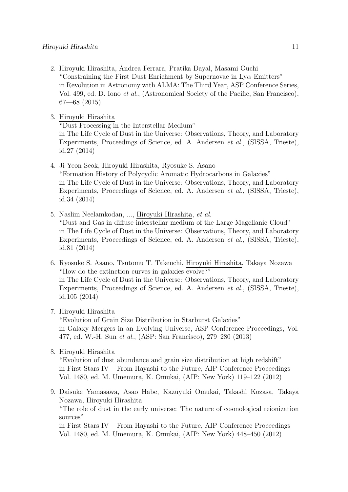2. Hiroyuki Hirashita, Andrea Ferrara, Pratika Dayal, Masami Ouchi "Constraining the First Dust Enrichment by Supernovae in Ly*α* Emitters" in Revolution in Astronomy with ALMA: The Third Year, ASP Conference Series, Vol. 499, ed. D. Iono *et al.*, (Astronomical Society of the Pacific, San Francisco), 67—68 (2015)

3. Hiroyuki Hirashita

"Dust Processing in the Interstellar Medium"

in The Life Cycle of Dust in the Universe: Observations, Theory, and Laboratory Experiments, Proceedings of Science, ed. A. Andersen *et al.*, (SISSA, Trieste), id.27 (2014)

4. Ji Yeon Seok, Hiroyuki Hirashita, Ryosuke S. Asano

"Formation History of Polycyclic Aromatic Hydrocarbons in Galaxies" in The Life Cycle of Dust in the Universe: Observations, Theory, and Laboratory Experiments, Proceedings of Science, ed. A. Andersen *et al.*, (SISSA, Trieste), id.34 (2014)

- 5. Naslim Neelamkodan, ..., Hiroyuki Hirashita, *et al.* "Dust and Gas in diffuse interstellar medium of the Large Magellanic Cloud" in The Life Cycle of Dust in the Universe: Observations, Theory, and Laboratory Experiments, Proceedings of Science, ed. A. Andersen *et al.*, (SISSA, Trieste), id.81 (2014)
- 6. Ryosuke S. Asano, Tsutomu T. Takeuchi, Hiroyuki Hirashita, Takaya Nozawa "How do the extinction curves in galaxies evolve?" in The Life Cycle of Dust in the Universe: Observations, Theory, and Laboratory Experiments, Proceedings of Science, ed. A. Andersen *et al.*, (SISSA, Trieste), id.105 (2014)

#### 7. Hiroyuki Hirashita

"Evolution of Grain Size Distribution in Starburst Galaxies" in Galaxy Mergers in an Evolving Universe, ASP Conference Proceedings, Vol. 477, ed. W.-H. Sun *et al.*, (ASP: San Francisco), 279–280 (2013)

8. Hiroyuki Hirashita

"Evolution of dust abundance and grain size distribution at high redshift" in First Stars IV – From Hayashi to the Future, AIP Conference Proceedings Vol. 1480, ed. M. Umemura, K. Omukai, (AIP: New York) 119–122 (2012)

9. Daisuke Yamasawa, Asao Habe, Kazuyuki Omukai, Takashi Kozasa, Takaya Nozawa, Hiroyuki Hirashita

"The role of dust in the early universe: The nature of cosmological reionization sources"

in First Stars IV – From Hayashi to the Future, AIP Conference Proceedings Vol. 1480, ed. M. Umemura, K. Omukai, (AIP: New York) 448–450 (2012)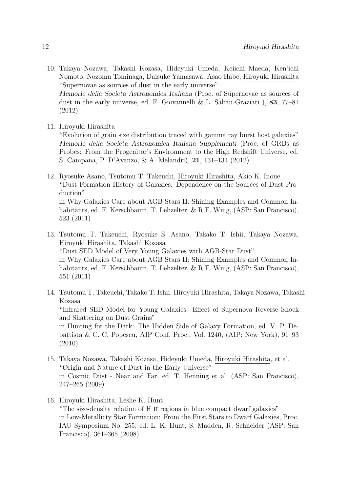10. Takaya Nozawa, Takashi Kozasa, Hideyuki Umeda, Keiichi Maeda, Ken'ichi Nomoto, Nozomu Tominaga, Daisuke Yamasawa, Asao Habe, Hiroyuki Hirashita "Supernovae as sources of dust in the early universe" *Memorie della Societa Astronomica Italiana* (Proc. of Supernovae as sources of dust in the early universe, ed. F. Giovannelli & L. Sabau-Graziati ), **83**, 77–81 (2012)

11. Hiroyuki Hirashita

"Evolution of grain size distribution traced with gamma ray burst host galaxies" *Memorie della Societa Astronomica Italiana Supplementi* (Proc. of GRBs as Probes: From the Progenitor's Environment to the High Redshift Universe, ed. S. Campana, P. D'Avanzo, & A. Melandri), **21**, 131–134 (2012)

- 12. Ryosuke Asano, Tsutomu T. Takeuchi, Hiroyuki Hirashita, Akio K. Inoue "Dust Formation History of Galaxies: Dependence on the Sources of Dust Production" in Why Galaxies Care about AGB Stars II: Shining Examples and Common Inhabitants, ed. F. Kerschbaum, T. Lebzelter, & R.F. Wing, (ASP: San Francisco), 523 (2011)
- 13. Tsutomu T. Takeuchi, Ryosuke S. Asano, Takako T. Ishii, Takaya Nozawa, Hiroyuki Hirashita, Takashi Kozasa "Dust SED Model of Very Young Galaxies with AGB-Star Dust" in Why Galaxies Care about AGB Stars II: Shining Examples and Common Inhabitants, ed. F. Kerschbaum, T. Lebzelter, & R.F. Wing, (ASP: San Francisco), 551 (2011)
- 14. Tsutomu T. Takeuchi, Takako T. Ishii, Hiroyuki Hirashita, Takaya Nozawa, Takashi Kozasa "Infrared SED Model for Young Galaxies: Effect of Supernova Reverse Shock and Shattering on Dust Grains" in Hunting for the Dark: The Hidden Side of Galaxy Formation, ed. V. P. Debattista & C. C. Popescu, AIP Conf. Proc., Vol. 1240, (AIP: New York), 91–93 (2010)
- 15. Takaya Nozawa, Takashi Kozasa, Hideyuki Umeda, Hiroyuki Hirashita, et al. "Origin and Nature of Dust in the Early Universe" in Cosmic Dust - Near and Far, ed. T. Henning et al. (ASP: San Francisco), 247–265 (2009)

16. Hiroyuki Hirashita, Leslie K. Hunt

"The size-density relation of H ii regions in blue compact dwarf galaxies" in Low-Metallicty Star Formation: From the First Stars to Dwarf Galaxies, Proc. IAU Symposium No. 255, ed. L. K. Hunt, S. Madden, R. Schneider (ASP: San Francisco), 361–365 (2008)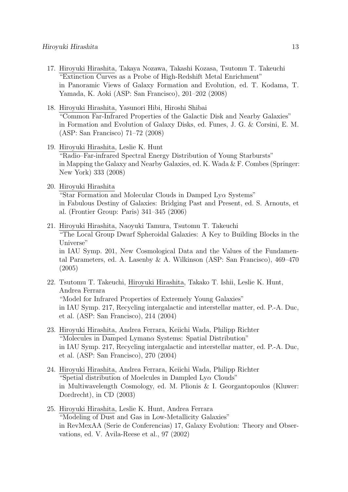- 17. Hiroyuki Hirashita, Takaya Nozawa, Takashi Kozasa, Tsutomu T. Takeuchi "Extinction Curves as a Probe of High-Redshift Metal Enrichment" in Panoramic Views of Galaxy Formation and Evolution, ed. T. Kodama, T. Yamada, K. Aoki (ASP: San Francisco), 201–202 (2008)
- 18. Hiroyuki Hirashita, Yasunori Hibi, Hiroshi Shibai "Common Far-Infrared Properties of the Galactic Disk and Nearby Galaxies" in Formation and Evolution of Galaxy Disks, ed. Funes, J. G. & Corsini, E. M. (ASP: San Francisco) 71–72 (2008)
- 19. Hiroyuki Hirashita, Leslie K. Hunt "Radio–Far-infrared Spectral Energy Distribution of Young Starbursts" in Mapping the Galaxy and Nearby Galaxies, ed. K. Wada & F. Combes (Springer: New York) 333 (2008)
- 20. Hiroyuki Hirashita

"Star Formation and Molecular Clouds in Damped Ly*α* Systems" in Fabulous Destiny of Galaxies: Bridging Past and Present, ed. S. Arnouts, et al. (Frontier Group: Paris) 341–345 (2006)

- 21. Hiroyuki Hirashita, Naoyuki Tamura, Tsutomu T. Takeuchi "The Local Group Dwarf Spheroidal Galaxies: A Key to Building Blocks in the Universe" in IAU Symp. 201, New Cosmological Data and the Values of the Fundamental Parameters, ed. A. Lasenby & A. Wilkinson (ASP: San Francisco), 469–470 (2005)
- 22. Tsutomu T. Takeuchi, Hiroyuki Hirashita, Takako T. Ishii, Leslie K. Hunt, Andrea Ferrara "Model for Infrared Properties of Extremely Young Galaxies" in IAU Symp. 217, Recycling intergalactic and interstellar matter, ed. P.-A. Duc, et al. (ASP: San Francisco), 214 (2004)
- 23. Hiroyuki Hirashita, Andrea Ferrara, Keiichi Wada, Philipp Richter "Molecules in Damped Lyman*α* Systems: Spatial Distribution" in IAU Symp. 217, Recycling intergalactic and interstellar matter, ed. P.-A. Duc, et al. (ASP: San Francisco), 270 (2004)
- 24. Hiroyuki Hirashita, Andrea Ferrara, Keiichi Wada, Philipp Richter "Spetial distribution of Moelcules in Dampled Ly*α* Clouds" in Multiwavelength Cosmology, ed. M. Plionis & I. Georgantopoulos (Kluwer: Dordrecht), in CD (2003)
- 25. Hiroyuki Hirashita, Leslie K. Hunt, Andrea Ferrara "Modeling of Dust and Gas in Low-Metallicity Galaxies" in RevMexAA (Serie de Conferencias) 17, Galaxy Evolution: Theory and Observations, ed. V. Avila-Reese et al., 97 (2002)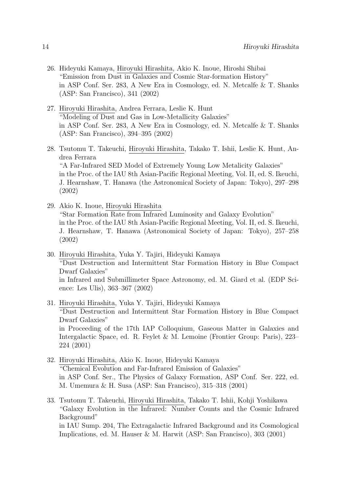- 26. Hideyuki Kamaya, Hiroyuki Hirashita, Akio K. Inoue, Hiroshi Shibai "Emission from Dust in Galaxies and Cosmic Star-formation History" in ASP Conf. Ser. 283, A New Era in Cosmology, ed. N. Metcalfe & T. Shanks (ASP: San Francisco), 341 (2002)
- 27. Hiroyuki Hirashita, Andrea Ferrara, Leslie K. Hunt "Modeling of Dust and Gas in Low-Metallicity Galaxies" in ASP Conf. Ser. 283, A New Era in Cosmology, ed. N. Metcalfe & T. Shanks (ASP: San Francisco), 394–395 (2002)
- 28. Tsutomu T. Takeuchi, Hiroyuki Hirashita, Takako T. Ishii, Leslie K. Hunt, Andrea Ferrara "A Far-Infrared SED Model of Extremely Young Low Metalicity Galaxies" in the Proc. of the IAU 8th Asian-Pacific Regional Meeting, Vol. II, ed. S. Ikeuchi, J. Hearnshaw, T. Hanawa (the Astronomical Society of Japan: Tokyo), 297–298 (2002)
- 29. Akio K. Inoue, Hiroyuki Hirashita "Star Formation Rate from Infrared Luminosity and Galaxy Evolution" in the Proc. of the IAU 8th Asian-Pacific Regional Meeting, Vol. II, ed. S. Ikeuchi, J. Hearnshaw, T. Hanawa (Astronomical Society of Japan: Tokyo), 257–258 (2002)
- 30. Hiroyuki Hirashita, Yuka Y. Tajiri, Hideyuki Kamaya "Dust Destruction and Intermittent Star Formation History in Blue Compact Dwarf Galaxies" in Infrared and Submillimeter Space Astronomy, ed. M. Giard et al. (EDP Science: Les Ulis), 363–367 (2002)
- 31. Hiroyuki Hirashita, Yuka Y. Tajiri, Hideyuki Kamaya "Dust Destruction and Intermittent Star Formation History in Blue Compact Dwarf Galaxies" in Proceeding of the 17th IAP Colloquium, Gaseous Matter in Galaxies and Intergalactic Space, ed. R. Feylet & M. Lemoine (Frontier Group: Paris), 223– 224 (2001)
- 32. Hiroyuki Hirashita, Akio K. Inoue, Hideyuki Kamaya "Chemical Evolution and Far-Infrared Emission of Galaxies" in ASP Conf. Ser., The Physics of Galaxy Formation, ASP Conf. Ser. 222, ed. M. Umemura & H. Susa (ASP: San Francisco), 315–318 (2001)
- 33. Tsutomu T. Takeuchi, Hiroyuki Hirashita, Takako T. Ishii, Kohji Yoshikawa "Galaxy Evolution in the Infrared: Number Counts and the Cosmic Infrared Background" in IAU Sump. 204, The Extragalactic Infrared Background and its Cosmological Implications, ed. M. Hauser & M. Harwit (ASP: San Francisco), 303 (2001)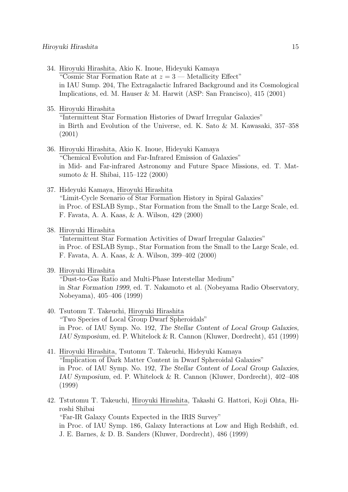- 34. Hiroyuki Hirashita, Akio K. Inoue, Hideyuki Kamaya "Cosmic Star Formation Rate at *z* = 3 — Metallicity Effect" in IAU Sump. 204, The Extragalactic Infrared Background and its Cosmological Implications, ed. M. Hauser & M. Harwit (ASP: San Francisco), 415 (2001)
- 35. Hiroyuki Hirashita

"Intermittent Star Formation Histories of Dwarf Irregular Galaxies" in Birth and Evolution of the Universe, ed. K. Sato & M. Kawasaki, 357–358 (2001)

36. Hiroyuki Hirashita, Akio K. Inoue, Hideyuki Kamaya "Chemical Evolution and Far-Infrared Emission of Galaxies" in Mid- and Far-infrared Astronomy and Future Space Missions, ed. T. Matsumoto & H. Shibai, 115–122 (2000)

#### 37. Hideyuki Kamaya, Hiroyuki Hirashita

"Limit-Cycle Scenario of Star Formation History in Spiral Galaxies" in Proc. of ESLAB Symp., Star Formation from the Small to the Large Scale, ed. F. Favata, A. A. Kaas, & A. Wilson, 429 (2000)

38. Hiroyuki Hirashita

"Intermittent Star Formation Activities of Dwarf Irregular Galaxies" in Proc. of ESLAB Symp., Star Formation from the Small to the Large Scale, ed. F. Favata, A. A. Kaas, & A. Wilson, 399–402 (2000)

#### 39. Hiroyuki Hirashita

"Dust-to-Gas Ratio and Multi-Phase Interstellar Medium" in *Star Formation 1999*, ed. T. Nakamoto et al. (Nobeyama Radio Observatory, Nobeyama), 405–406 (1999)

- 40. Tsutomu T. Takeuchi, Hiroyuki Hirashita "Two Species of Local Group Dwarf Spheroidals" in Proc. of IAU Symp. No. 192, *The Stellar Content of Local Group Galaxies, IAU Symposium*, ed. P. Whitelock & R. Cannon (Kluwer, Dordrecht), 451 (1999)
- 41. Hiroyuki Hirashita, Tsutomu T. Takeuchi, Hideyuki Kamaya "Implication of Dark Matter Content in Dwarf Spheroidal Galaxies" in Proc. of IAU Symp. No. 192, *The Stellar Content of Local Group Galaxies, IAU Symposium*, ed. P. Whitelock & R. Cannon (Kluwer, Dordrecht), 402–408 (1999)
- 42. Tstutomu T. Takeuchi, Hiroyuki Hirashita, Takashi G. Hattori, Koji Ohta, Hiroshi Shibai "Far-IR Galaxy Counts Expected in the IRIS Survey" in Proc. of IAU Symp. 186, Galaxy Interactions at Low and High Redshift, ed. J. E. Barnes, & D. B. Sanders (Kluwer, Dordrecht), 486 (1999)